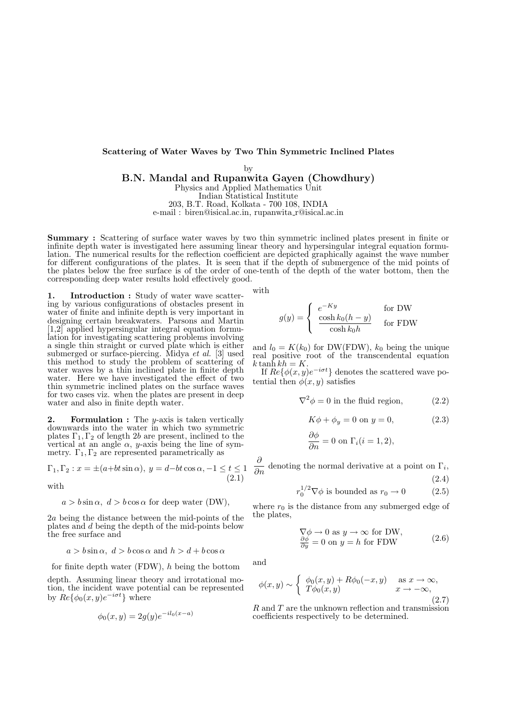#### Scattering of Water Waves by Two Thin Symmetric Inclined Plates

by

B.N. Mandal and Rupanwita Gayen (Chowdhury) Physics and Applied Mathematics Unit

Indian Statistical Institute

203, B.T. Road, Kolkata - 700 108, INDIA

e-mail : biren@isical.ac.in, rupanwita r@isical.ac.in

Summary : Scattering of surface water waves by two thin symmetric inclined plates present in finite or infinite depth water is investigated here assuming linear theory and hypersingular integral equation formulation. The numerical results for the reflection coefficient are depicted graphically against the wave number for different configurations of the plates. It is seen that if the depth of submergence of the mid points of the plates below the free surface is of the order of one-tenth of the depth of the water bottom, then the corresponding deep water results hold effectively good.

1. Introduction : Study of water wave scattering by various configurations of obstacles present in water of finite and infinite depth is very important in designing certain breakwaters. Parsons and Martin  $[1,2]$  applied hypersingular integral equation formulation for investigating scattering problems involving a single thin straight or curved plate which is either submerged or surface-piercing. Midya et al. [3] used this method to study the problem of scattering of water waves by a thin inclined plate in finite depth water. Here we have investigated the effect of two thin symmetric inclined plates on the surface waves for two cases viz. when the plates are present in deep water and also in finite depth water.

**2.** Formulation : The *y*-axis is taken vertically downwards into the water in which two symmetric plates  $\Gamma_1, \Gamma_2$  of length 2b are present, inclined to the vertical at an angle  $\alpha$ , y-axis being the line of symmetry.  $\Gamma_1, \Gamma_2$  are represented parametrically as

$$
\Gamma_1, \Gamma_2: x = \pm(a+bt\sin\alpha), y = d-bt\cos\alpha, -1 \le t \le 1
$$
\n
$$
(2.1)
$$

with

 $a > b \sin \alpha$ ,  $d > b \cos \alpha$  for deep water (DW),

2a being the distance between the mid-points of the plates and d being the depth of the mid-points below the free surface and

$$
a > b \sin \alpha
$$
,  $d > b \cos \alpha$  and  $h > d + b \cos \alpha$ 

for finite depth water (FDW), h being the bottom

depth. Assuming linear theory and irrotational motion, the incident wave potential can be represented by  $\mathring{Re}\{\phi_0(x,y)e^{-i\sigma t}\}\$  where

$$
\phi_0(x, y) = 2g(y)e^{-il_0(x-a)}
$$

with

$$
g(y) = \begin{cases} e^{-Ky} & \text{for DW} \\ \frac{\cosh k_0 (h - y)}{\cosh k_0 h} & \text{for FDW} \end{cases}
$$

and  $l_0 = K(k_0)$  for DW(FDW),  $k_0$  being the unique real positive root of the transcendental equation  $k \tanh kh = K.$ 

If  $Re{\{\phi(x,y)e^{-i\sigma t}\}}$  denotes the scattered wave potential then  $\phi(x, y)$  satisfies

$$
\nabla^2 \phi = 0
$$
 in the fluid region, (2.2)

$$
K\phi + \phi_y = 0 \text{ on } y = 0,
$$
\n
$$
(2.3)
$$

$$
\frac{\partial \phi}{\partial n} = 0 \text{ on } \Gamma_i (i = 1, 2),
$$

∂  $\frac{\delta}{\delta n}$  denoting the normal derivative at a point on  $\Gamma_i$ , (2.4)

$$
r_0^{1/2} \nabla \phi
$$
 is bounded as  $r_0 \to 0$  (2.5)

where  $r_0$  is the distance from any submerged edge of the plates,

$$
\nabla \phi \to 0 \text{ as } y \to \infty \text{ for DW,}
$$
  
\n
$$
\frac{\partial \phi}{\partial y} = 0 \text{ on } y = h \text{ for FDW}
$$
 (2.6)

and

$$
\phi(x,y) \sim \begin{cases} \phi_0(x,y) + R\phi_0(-x,y) & \text{as } x \to \infty, \\ T\phi_0(x,y) & x \to -\infty, \end{cases}
$$
\n(2.7)

R and T are the unknown reflection and transmission coefficients respectively to be determined.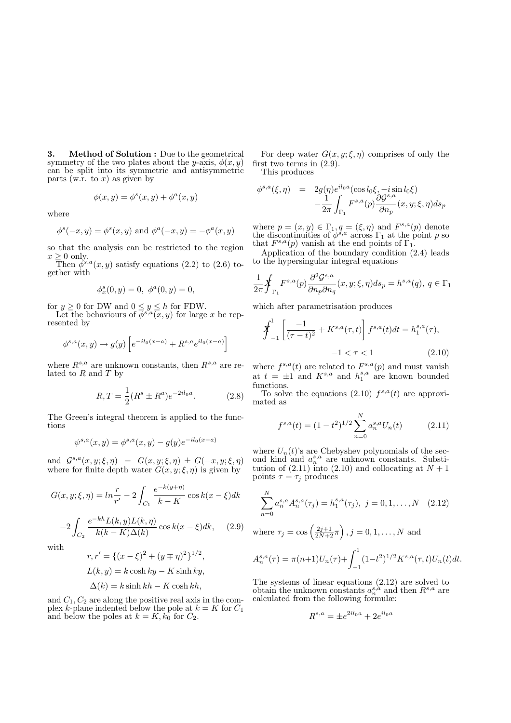3. Method of Solution : Due to the geometrical symmetry of the two plates about the y-axis,  $\phi(x, y)$ can be split into its symmetric and antisymmetric parts (w.r. to  $x$ ) as given by

$$
\phi(x, y) = \phi^{s}(x, y) + \phi^{a}(x, y)
$$

where

$$
\phi^s(-x, y) = \phi^s(x, y) \text{ and } \phi^a(-x, y) = -\phi^a(x, y)
$$

so that the analysis can be restricted to the region  $x \geq 0$  only.

Then  $\phi^{s,a}(x, y)$  satisfy equations (2.2) to (2.6) together with

$$
\phi_x^s(0, y) = 0, \ \phi^a(0, y) = 0,
$$

for  $y \ge 0$  for DW and  $0 \le y \le h$  for FDW.

Let the behaviours of  $\overline{\phi}^{s,a}(\overline{x},y)$  for large x be represented by

$$
\phi^{s,a}(x,y) \to g(y) \left[ e^{-il_0(x-a)} + R^{s,a} e^{il_0(x-a)} \right]
$$

where  $R^{s,a}$  are unknown constants, then  $R^{s,a}$  are related to  $R$  and  $T$  by

$$
R, T = \frac{1}{2}(R^s \pm R^a)e^{-2il_0a}.
$$
 (2.8)

The Green's integral theorem is applied to the functions

$$
\psi^{s,a}(x,y) = \phi^{s,a}(x,y) - g(y)e^{-il_0(x-a)}
$$

and  $\mathcal{G}^{s,a}(x,y;\xi,\eta) = G(x,y;\xi,\eta) \pm G(-x,y;\xi,\eta)$ where for finite depth water  $G(x, y; \xi, \eta)$  is given by

$$
G(x, y; \xi, \eta) = \ln \frac{r}{r'} - 2 \int_{C_1} \frac{e^{-k(y+\eta)}}{k - K} \cos k(x - \xi) dk
$$
  
2\int\_{C\_1} e^{-kh} L(k, y) L(k, \eta) \cdot \frac{1}{k!} \cdot \frac{1}{k!} \cdot \frac{1}{k!} \cdot \frac{1}{k!} \cdot \frac{1}{k!} \cdot \frac{1}{k!} \cdot \frac{1}{k!} \cdot \frac{1}{k!} \cdot \frac{1}{k!} \cdot \frac{1}{k!} \cdot \frac{1}{k!} \cdot \frac{1}{k!} \cdot \frac{1}{k!} \cdot \frac{1}{k!} \cdot \frac{1}{k!} \cdot \frac{1}{k!} \cdot \frac{1}{k!} \cdot \frac{1}{k!} \cdot \frac{1}{k!} \cdot \frac{1}{k!} \cdot \frac{1}{k!} \cdot \frac{1}{k!} \cdot \frac{1}{k!} \cdot \frac{1}{k!} \cdot \frac{1}{k!} \cdot \frac{1}{k!} \cdot \frac{1}{k!} \cdot \frac{1}{k!} \cdot \frac{1}{k!} \cdot \frac{1}{k!} \cdot \frac{1}{k!} \cdot \frac{1}{k!} \cdot \frac{1}{k!} \cdot \frac{1}{k!} \cdot \frac{1}{k!} \cdot \frac{1}{k!} \cdot \frac{1}{k!} \cdot \frac{1}{k!} \cdot \frac{1}{k!} \cdot \frac{1}{k!} \cdot \frac{1}{k!} \cdot \frac{1}{k!} \cdot \frac{1}{k!} \cdot \frac{1}{k!} \cdot \frac{1}{k!} \cdot \frac{1}{k!} \cdot \frac{1}{k!} \cdot \frac{1}{k!} \cdot \frac{1}{k!} \cdot \frac{1}{k!} \cdot \frac{1}{k!} \cdot \frac{1}{k!} \cdot \frac{1}{k!} \cdot \frac{1}{k!} \cdot \frac{1}{k!} \cdot \frac{1}{k!} \cdot \frac{1}{k!} \cdot \frac{1}{k!} \cdot \frac{1}{k!} \cdot \frac{1}{k!} \cdot \frac{1}{k!} \cdot \frac{1}{k!} \cdot \frac{1}{k!} \cdot \frac{1}{k!} \cdot \frac{1}{k!} \cdot \frac{1}{k!} \cdot \frac{1}{k!} \cdot \frac{1

$$
-2\int_{C_2} \frac{e^{-kh}L(k,y)L(k,\eta)}{k(k-K)\Delta(k)}\cos k(x-\xi)dk,\qquad(2.9)
$$

with

$$
r, r' = \{(x - \xi)^2 + (y \mp \eta)^2\}^{1/2},
$$
  
\n
$$
L(k, y) = k \cosh ky - K \sinh ky,
$$
  
\n
$$
\Delta(k) = k \sinh kh - K \cosh kh,
$$

and  $C_1, C_2$  are along the positive real axis in the complex k-plane indented below the pole at  $k = K$  for  $C_1$ and below the poles at  $k = K, k_0$  for  $C_2$ .

For deep water  $G(x, y; \xi, \eta)$  comprises of only the first two terms in (2.9).

This produces

$$
\phi^{s,a}(\xi,\eta) = 2g(\eta)e^{il_0a}(\cos l_0\xi, -i\sin l_0\xi) \n- \frac{1}{2\pi} \int_{\Gamma_1} F^{s,a}(p) \frac{\partial \mathcal{G}^{s,a}}{\partial n_p}(x,y;\xi,\eta) ds_p
$$

where  $p = (x, y) \in \Gamma_1, q = (\xi, \eta)$  and  $F^{s,a}(p)$  denote the discontinuities of  $\phi^{s,a}$  across  $\Gamma_1$  at the point p so that  $F^{s,a}(p)$  vanish at the end points of  $\Gamma_1$ .

Application of the boundary condition (2.4) leads to the hypersingular integral equations

$$
\frac{1}{2\pi} \oint_{\Gamma_1} F^{s,a}(p) \frac{\partial^2 \mathcal{G}^{s,a}}{\partial n_p \partial n_q}(x, y; \xi, \eta) ds_p = h^{s,a}(q), \ q \in \Gamma_1
$$

which after parametrisation produces

$$
\oint_{-1}^{1} \left[ \frac{-1}{(\tau - t)^2} + K^{s, a}(\tau, t) \right] f^{s, a}(t) dt = h_1^{s, a}(\tau),
$$
  
-1 < \tau < 1 (2.10)

where  $f^{s,a}(t)$  are related to  $F^{s,a}(p)$  and must vanish at  $t = \pm 1$  and  $K^{s,a}$  and  $h_1^{s,a}$  are known bounded functions.

To solve the equations  $(2.10)$   $f^{s,a}(t)$  are approximated as

$$
f^{s,a}(t) = (1 - t^2)^{1/2} \sum_{n=0}^{N} a_n^{s,a} U_n(t)
$$
 (2.11)

where  $U_n(t)$ 's are Chebyshev polynomials of the second kind and  $a_n^{s,a}$  are unknown constants. Substitution of  $(2.11)$  into  $(2.10)$  and collocating at  $N + 1$ points  $\tau = \tau_i$  produces

$$
\sum_{n=0}^{N} a_n^{s,a} A_n^{s,a}(\tau_j) = h_1^{s,a}(\tau_j), \ j = 0, 1, \dots, N \quad (2.12)
$$

where  $\tau_j = \cos\left(\frac{2j+1}{2N+2}\pi\right), j = 0, 1, \dots, N$  and

$$
A_n^{s,a}(\tau) = \pi(n+1)U_n(\tau) + \int_{-1}^1 (1-t^2)^{1/2} K^{s,a}(\tau,t)U_n(t)dt.
$$

The systems of linear equations (2.12) are solved to obtain the unknown constants  $a_n^{s,a}$  and then  $R^{s,a}$  are calculated from the following formulæ:

$$
R^{s,a} = \pm e^{2il_0a} + 2e^{il_0a}
$$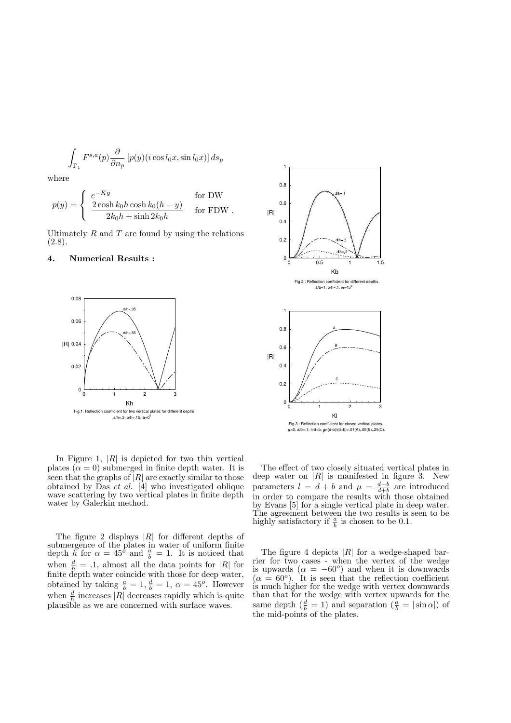$$
\int_{\Gamma_1} F^{s,a}(p) \frac{\partial}{\partial n_p} \left[ p(y) (i \cos l_0 x, \sin l_0 x) \right] ds_p
$$

where

$$
p(y) = \begin{cases} e^{-Ky} & \text{for DW} \\ \frac{2\cosh k_0h\cosh k_0(h-y)}{2k_0h + \sinh 2k_0h} & \text{for FDW} . \end{cases}
$$

Ultimately  $R$  and  $T$  are found by using the relations  $(2.8).$ 

#### 4. Numerical Results :



In Figure 1,  $|R|$  is depicted for two thin vertical plates  $(\alpha = 0)$  submerged in finite depth water. It is seen that the graphs of  $|R|$  are exactly similar to those obtained by Das et al.  $[4]$  who investigated oblique wave scattering by two vertical plates in finite depth water by Galerkin method.

The figure 2 displays  $|R|$  for different depths of submergence of the plates in water of uniform finite depth h for  $\alpha = 45^{\circ}$  and  $\frac{a}{b} = 1$ . It is noticed that when  $\frac{d}{h} = .1$ , almost all the data points for |R| for finite depth water coincide with those for deep water, obtained by taking  $\frac{a}{b} = 1$ ,  $\frac{d}{b} = 1$ ,  $\alpha = 45^o$ . However when  $\frac{d}{h}$  increases |R| decreases rapidly which is quite plausible as we are concerned with surface waves.



The effect of two closely situated vertical plates in deep water on  $|R|$  is manifested in figure 3. New parameters  $l = d + b$  and  $\mu = \frac{d-b}{d+b}$  are introduced in order to compare the results with those obtained by Evans [5] for a single vertical plate in deep water. The agreement between the two results is seen to be highly satisfactory if  $\frac{a}{b}$  is chosen to be 0.1.

The figure 4 depicts  $|R|$  for a wedge-shaped barrier for two cases - when the vertex of the wedge is upwards  $(\alpha = -60^{\circ})$  and when it is downwards  $(\alpha = 60^{\circ})$ . It is seen that the reflection coefficient is much higher for the wedge with vertex downwards than that for the wedge with vertex upwards for the same depth  $\left(\frac{d}{b} = 1\right)$  and separation  $\left(\frac{a}{b} = |\sin \alpha|\right)$  of the mid-points of the plates.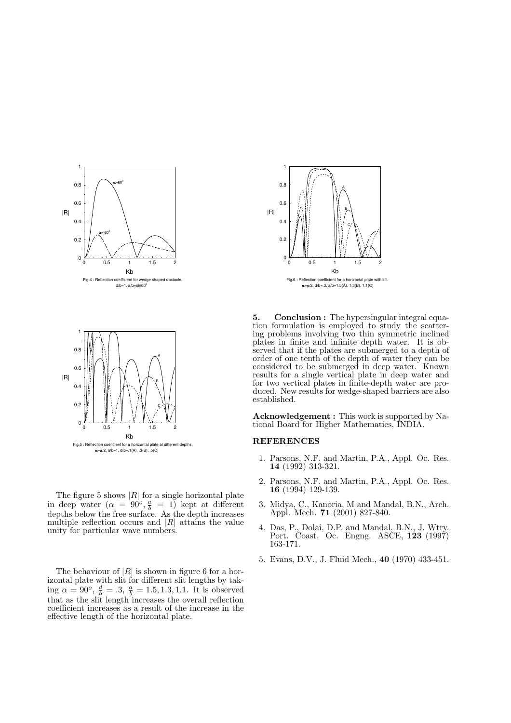

The figure 5 shows  $|R|$  for a single horizontal plate in deep water  $(\alpha = 90^o, \frac{a}{b} = 1)$  kept at different depths below the free surface. As the depth increases multiple reflection occurs and  $|R|$  attains the value unity for particular wave numbers.

The behaviour of  $|R|$  is shown in figure 6 for a horizontal plate with slit for different slit lengths by taking  $\alpha = 90^{\circ}, \frac{d}{b} = .3, \frac{a}{b} = 1.5, 1.3, 1.1$ . It is observed that as the slit length increases the overall reflection coefficient increases as a result of the increase in the effective length of the horizontal plate.



5. Conclusion : The hypersingular integral equation formulation is employed to study the scattering problems involving two thin symmetric inclined plates in finite and infinite depth water. It is observed that if the plates are submerged to a depth of order of one tenth of the depth of water they can be considered to be submerged in deep water. Known results for a single vertical plate in deep water and for two vertical plates in finite-depth water are produced. New results for wedge-shaped barriers are also established.

Acknowledgement : This work is supported by National Board for Higher Mathematics, INDIA.

#### REFERENCES

- 1. Parsons, N.F. and Martin, P.A., Appl. Oc. Res. 14 (1992) 313-321.
- 2. Parsons, N.F. and Martin, P.A., Appl. Oc. Res. 16 (1994) 129-139.
- 3. Midya, C., Kanoria, M and Mandal, B.N., Arch. Appl. Mech. 71 (2001) 827-840.
- 4. Das, P., Dolai, D.P. and Mandal, B.N., J. Wtry. Port. Coast. Oc. Engng. ASCE, 123 (1997) 163-171.
- 5. Evans, D.V., J. Fluid Mech., 40 (1970) 433-451.